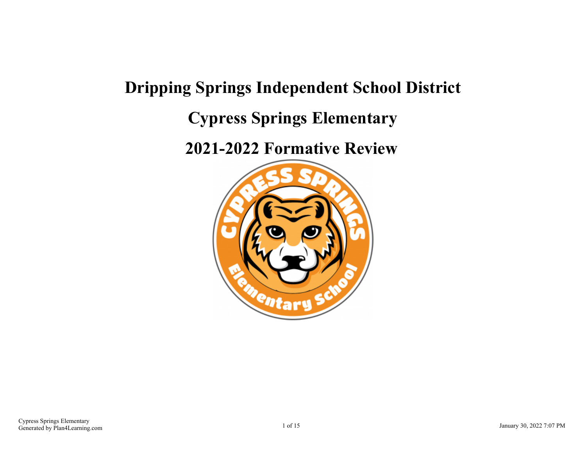# **Dripping Springs Independent School District Cypress Springs Elementary**

**2021-2022 Formative Review**

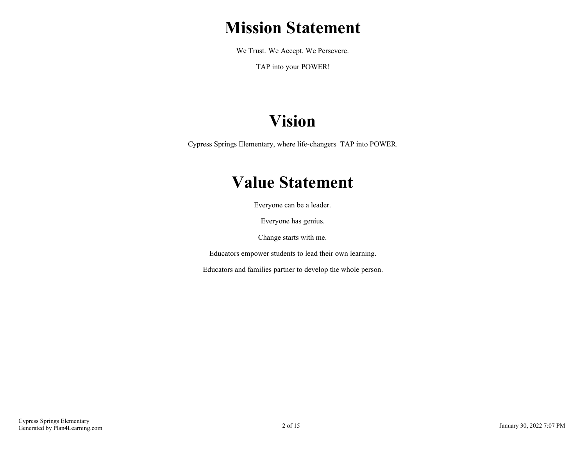# **Mission Statement**

We Trust. We Accept. We Persevere.

TAP into your POWER!

# **Vision**

Cypress Springs Elementary, where life-changers TAP into POWER.

# **Value Statement**

Everyone can be a leader.

Everyone has genius.

Change starts with me.

Educators empower students to lead their own learning.

Educators and families partner to develop the whole person.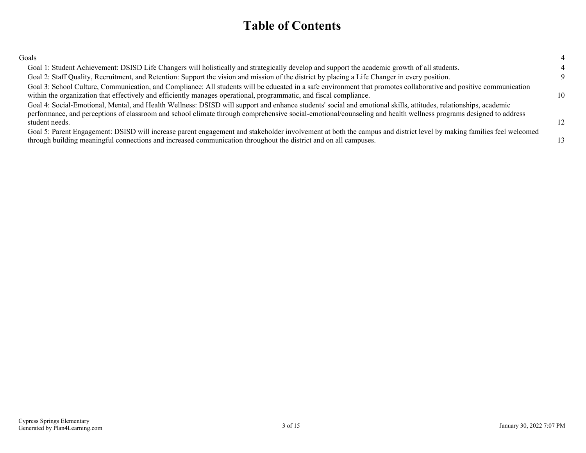## **Table of Contents**

| ٧<br>I<br>I<br>۰,<br>۰, |
|-------------------------|
|-------------------------|

| Goals                                                                                                                                                                                                                                                                                                                                                |          |
|------------------------------------------------------------------------------------------------------------------------------------------------------------------------------------------------------------------------------------------------------------------------------------------------------------------------------------------------------|----------|
| Goal 1: Student Achievement: DSISD Life Changers will holistically and strategically develop and support the academic growth of all students.                                                                                                                                                                                                        |          |
| Goal 2: Staff Quality, Recruitment, and Retention: Support the vision and mission of the district by placing a Life Changer in every position.                                                                                                                                                                                                       | $\Omega$ |
| Goal 3: School Culture, Communication, and Compliance: All students will be educated in a safe environment that promotes collaborative and positive communication<br>within the organization that effectively and efficiently manages operational, programmatic, and fiscal compliance.                                                              | 10       |
| Goal 4: Social-Emotional, Mental, and Health Wellness: DSISD will support and enhance students' social and emotional skills, attitudes, relationships, academic<br>performance, and perceptions of classroom and school climate through comprehensive social-emotional/counseling and health wellness programs designed to address<br>student needs. | 12       |
| Goal 5: Parent Engagement: DSISD will increase parent engagement and stakeholder involvement at both the campus and district level by making families feel welcomed<br>through building meaningful connections and increased communication throughout the district and on all campuses.                                                              | 13       |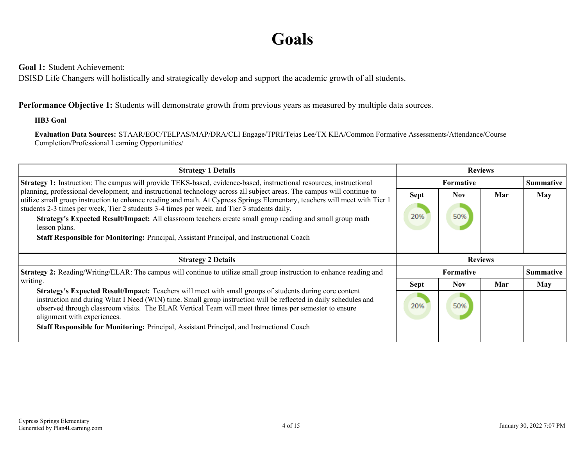# **Goals**

<span id="page-3-0"></span>**Goal 1:** Student Achievement:

DSISD Life Changers will holistically and strategically develop and support the academic growth of all students.

## **Performance Objective 1:** Students will demonstrate growth from previous years as measured by multiple data sources.

### **HB3 Goal**

**Evaluation Data Sources:** STAAR/EOC/TELPAS/MAP/DRA/CLI Engage/TPRI/Tejas Lee/TX KEA/Common Formative Assessments/Attendance/Course Completion/Professional Learning Opportunities/

| <b>Strategy 1 Details</b>                                                                                                                                                                                                                                                                                                                                                                                                                                        | <b>Reviews</b> |            |     |                  |
|------------------------------------------------------------------------------------------------------------------------------------------------------------------------------------------------------------------------------------------------------------------------------------------------------------------------------------------------------------------------------------------------------------------------------------------------------------------|----------------|------------|-----|------------------|
| Strategy 1: Instruction: The campus will provide TEKS-based, evidence-based, instructional resources, instructional                                                                                                                                                                                                                                                                                                                                              | Formative      |            |     | <b>Summative</b> |
| planning, professional development, and instructional technology across all subject areas. The campus will continue to<br>utilize small group instruction to enhance reading and math. At Cypress Springs Elementary, teachers will meet with Tier 1                                                                                                                                                                                                             | <b>Sept</b>    | <b>Nov</b> | Mar | May              |
| students 2-3 times per week, Tier 2 students 3-4 times per week, and Tier 3 students daily.                                                                                                                                                                                                                                                                                                                                                                      |                |            |     |                  |
| Strategy's Expected Result/Impact: All classroom teachers create small group reading and small group math<br>lesson plans.                                                                                                                                                                                                                                                                                                                                       | 20%            | 50%        |     |                  |
| Staff Responsible for Monitoring: Principal, Assistant Principal, and Instructional Coach                                                                                                                                                                                                                                                                                                                                                                        |                |            |     |                  |
|                                                                                                                                                                                                                                                                                                                                                                                                                                                                  |                |            |     |                  |
| <b>Strategy 2 Details</b>                                                                                                                                                                                                                                                                                                                                                                                                                                        | <b>Reviews</b> |            |     |                  |
| <b>Strategy 2:</b> Reading/Writing/ELAR: The campus will continue to utilize small group instruction to enhance reading and                                                                                                                                                                                                                                                                                                                                      |                | Formative  |     | <b>Summative</b> |
|                                                                                                                                                                                                                                                                                                                                                                                                                                                                  |                |            |     |                  |
| writing.                                                                                                                                                                                                                                                                                                                                                                                                                                                         | <b>Sept</b>    | <b>Nov</b> | Mar | May              |
| Strategy's Expected Result/Impact: Teachers will meet with small groups of students during core content<br>instruction and during What I Need (WIN) time. Small group instruction will be reflected in daily schedules and<br>observed through classroom visits. The ELAR Vertical Team will meet three times per semester to ensure<br>alignment with experiences.<br>Staff Responsible for Monitoring: Principal, Assistant Principal, and Instructional Coach | 20%            | 50%        |     |                  |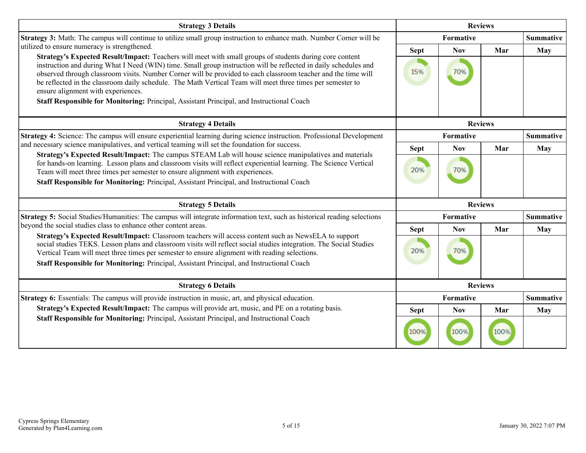| <b>Strategy 3 Details</b>                                                                                                                                                                                                                                                                                                                                                                                                                                                                       | <b>Reviews</b> |            |                |                  |
|-------------------------------------------------------------------------------------------------------------------------------------------------------------------------------------------------------------------------------------------------------------------------------------------------------------------------------------------------------------------------------------------------------------------------------------------------------------------------------------------------|----------------|------------|----------------|------------------|
| Strategy 3: Math: The campus will continue to utilize small group instruction to enhance math. Number Corner will be                                                                                                                                                                                                                                                                                                                                                                            |                | Formative  |                |                  |
| utilized to ensure numeracy is strengthened.                                                                                                                                                                                                                                                                                                                                                                                                                                                    | <b>Sept</b>    | <b>Nov</b> | Mar            | May              |
| Strategy's Expected Result/Impact: Teachers will meet with small groups of students during core content<br>instruction and during What I Need (WIN) time. Small group instruction will be reflected in daily schedules and<br>observed through classroom visits. Number Corner will be provided to each classroom teacher and the time will<br>be reflected in the classroom daily schedule. The Math Vertical Team will meet three times per semester to<br>ensure alignment with experiences. | 15%            | 70%        |                |                  |
| Staff Responsible for Monitoring: Principal, Assistant Principal, and Instructional Coach                                                                                                                                                                                                                                                                                                                                                                                                       |                |            |                |                  |
| <b>Strategy 4 Details</b>                                                                                                                                                                                                                                                                                                                                                                                                                                                                       |                |            | <b>Reviews</b> |                  |
| <b>Strategy 4:</b> Science: The campus will ensure experiential learning during science instruction. Professional Development                                                                                                                                                                                                                                                                                                                                                                   |                | Formative  |                | <b>Summative</b> |
| and necessary science manipulatives, and vertical teaming will set the foundation for success.<br>Strategy's Expected Result/Impact: The campus STEAM Lab will house science manipulatives and materials                                                                                                                                                                                                                                                                                        | <b>Sept</b>    | <b>Nov</b> | Mar            | May              |
| for hands-on learning. Lesson plans and classroom visits will reflect experiential learning. The Science Vertical<br>Team will meet three times per semester to ensure alignment with experiences.<br>Staff Responsible for Monitoring: Principal, Assistant Principal, and Instructional Coach                                                                                                                                                                                                 | 20%            | 70%        |                |                  |
| <b>Strategy 5 Details</b>                                                                                                                                                                                                                                                                                                                                                                                                                                                                       | <b>Reviews</b> |            |                |                  |
| Strategy 5: Social Studies/Humanities: The campus will integrate information text, such as historical reading selections<br>beyond the social studies class to enhance other content areas.                                                                                                                                                                                                                                                                                                     |                | Formative  |                | <b>Summative</b> |
| Strategy's Expected Result/Impact: Classroom teachers will access content such as NewsELA to support                                                                                                                                                                                                                                                                                                                                                                                            | <b>Sept</b>    | <b>Nov</b> | Mar            | <b>May</b>       |
| social studies TEKS. Lesson plans and classroom visits will reflect social studies integration. The Social Studies<br>Vertical Team will meet three times per semester to ensure alignment with reading selections.<br>Staff Responsible for Monitoring: Principal, Assistant Principal, and Instructional Coach                                                                                                                                                                                | 20%            | 70%        |                |                  |
| <b>Strategy 6 Details</b>                                                                                                                                                                                                                                                                                                                                                                                                                                                                       |                |            | <b>Reviews</b> |                  |
| <b>Strategy 6:</b> Essentials: The campus will provide instruction in music, art, and physical education.                                                                                                                                                                                                                                                                                                                                                                                       |                | Formative  |                | <b>Summative</b> |
| Strategy's Expected Result/Impact: The campus will provide art, music, and PE on a rotating basis.                                                                                                                                                                                                                                                                                                                                                                                              | <b>Sept</b>    | <b>Nov</b> | Mar            | May              |
| Staff Responsible for Monitoring: Principal, Assistant Principal, and Instructional Coach                                                                                                                                                                                                                                                                                                                                                                                                       | 100%           | 100%       | 100%           |                  |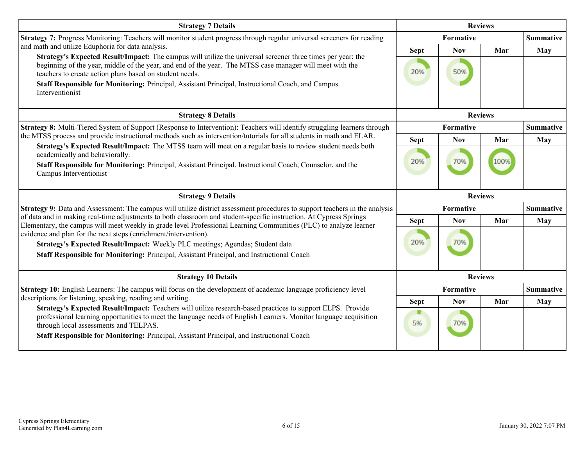| <b>Strategy 7 Details</b>                                                                                                                                                                                                                                                                                                                                                               | <b>Reviews</b>   |                  |                |                  |
|-----------------------------------------------------------------------------------------------------------------------------------------------------------------------------------------------------------------------------------------------------------------------------------------------------------------------------------------------------------------------------------------|------------------|------------------|----------------|------------------|
| Strategy 7: Progress Monitoring: Teachers will monitor student progress through regular universal screeners for reading                                                                                                                                                                                                                                                                 | Formative        |                  |                | <b>Summative</b> |
| and math and utilize Eduphoria for data analysis.                                                                                                                                                                                                                                                                                                                                       | <b>Sept</b>      | <b>Nov</b>       | Mar            | May              |
| Strategy's Expected Result/Impact: The campus will utilize the universal screener three times per year: the<br>beginning of the year, middle of the year, and end of the year. The MTSS case manager will meet with the<br>teachers to create action plans based on student needs.<br>Staff Responsible for Monitoring: Principal, Assistant Principal, Instructional Coach, and Campus | 20%              | 50%              |                |                  |
| Interventionist<br><b>Strategy 8 Details</b>                                                                                                                                                                                                                                                                                                                                            |                  |                  | <b>Reviews</b> |                  |
| Strategy 8: Multi-Tiered System of Support (Response to Intervention): Teachers will identify struggling learners through                                                                                                                                                                                                                                                               |                  | Formative        |                | <b>Summative</b> |
| the MTSS process and provide instructional methods such as intervention/tutorials for all students in math and ELAR.                                                                                                                                                                                                                                                                    | <b>Sept</b>      | <b>Nov</b>       | Mar            | May              |
| Strategy's Expected Result/Impact: The MTSS team will meet on a regular basis to review student needs both<br>academically and behaviorally.<br>Staff Responsible for Monitoring: Principal, Assistant Principal. Instructional Coach, Counselor, and the<br>Campus Interventionist                                                                                                     | 20%              | 70%              | 100%           |                  |
| <b>Strategy 9 Details</b>                                                                                                                                                                                                                                                                                                                                                               |                  |                  | <b>Reviews</b> |                  |
| Strategy 9: Data and Assessment: The campus will utilize district assessment procedures to support teachers in the analysis                                                                                                                                                                                                                                                             | <b>Formative</b> | <b>Summative</b> |                |                  |
| of data and in making real-time adjustments to both classroom and student-specific instruction. At Cypress Springs<br>Elementary, the campus will meet weekly in grade level Professional Learning Communities (PLC) to analyze learner                                                                                                                                                 | <b>Sept</b>      | <b>Nov</b>       | Mar            | May              |
| evidence and plan for the next steps (enrichment/intervention).<br>Strategy's Expected Result/Impact: Weekly PLC meetings; Agendas; Student data<br>Staff Responsible for Monitoring: Principal, Assistant Principal, and Instructional Coach                                                                                                                                           | 20%              | 70%              |                |                  |
| <b>Strategy 10 Details</b>                                                                                                                                                                                                                                                                                                                                                              |                  | <b>Reviews</b>   |                |                  |
| Strategy 10: English Learners: The campus will focus on the development of academic language proficiency level                                                                                                                                                                                                                                                                          |                  | <b>Formative</b> |                | <b>Summative</b> |
| descriptions for listening, speaking, reading and writing.<br>Strategy's Expected Result/Impact: Teachers will utilize research-based practices to support ELPS. Provide                                                                                                                                                                                                                | <b>Sept</b>      | <b>Nov</b>       | Mar            | <b>May</b>       |
| professional learning opportunities to meet the language needs of English Learners. Monitor language acquisition<br>through local assessments and TELPAS.<br>Staff Responsible for Monitoring: Principal, Assistant Principal, and Instructional Coach                                                                                                                                  | 5%               | 70%              |                |                  |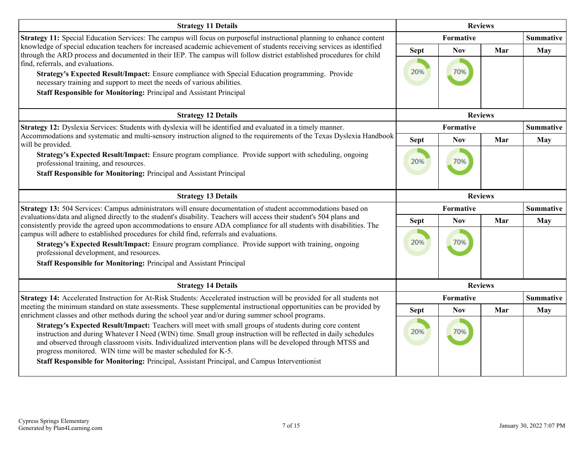| <b>Strategy 11 Details</b>                                                                                                                                                                                                                                                                                                                                                                                                                                                                                                                                          | <b>Reviews</b>     |                   |     |                  |
|---------------------------------------------------------------------------------------------------------------------------------------------------------------------------------------------------------------------------------------------------------------------------------------------------------------------------------------------------------------------------------------------------------------------------------------------------------------------------------------------------------------------------------------------------------------------|--------------------|-------------------|-----|------------------|
| Strategy 11: Special Education Services: The campus will focus on purposeful instructional planning to enhance content                                                                                                                                                                                                                                                                                                                                                                                                                                              |                    | Formative         |     |                  |
| knowledge of special education teachers for increased academic achievement of students receiving services as identified<br>through the ARD process and documented in their IEP. The campus will follow district established procedures for child<br>find, referrals, and evaluations.<br>Strategy's Expected Result/Impact: Ensure compliance with Special Education programming. Provide<br>necessary training and support to meet the needs of various abilities.<br>Staff Responsible for Monitoring: Principal and Assistant Principal                          | <b>Sept</b><br>20% | <b>Nov</b><br>70% | Mar | <b>May</b>       |
| <b>Strategy 12 Details</b>                                                                                                                                                                                                                                                                                                                                                                                                                                                                                                                                          |                    | <b>Reviews</b>    |     |                  |
| Strategy 12: Dyslexia Services: Students with dyslexia will be identified and evaluated in a timely manner.                                                                                                                                                                                                                                                                                                                                                                                                                                                         |                    | Formative         |     | <b>Summative</b> |
| Accommodations and systematic and multi-sensory instruction aligned to the requirements of the Texas Dyslexia Handbook<br>will be provided.                                                                                                                                                                                                                                                                                                                                                                                                                         | <b>Sept</b>        | <b>Nov</b>        | Mar | <b>May</b>       |
| Strategy's Expected Result/Impact: Ensure program compliance. Provide support with scheduling, ongoing<br>professional training, and resources.<br>Staff Responsible for Monitoring: Principal and Assistant Principal                                                                                                                                                                                                                                                                                                                                              | 20%                | 70%               |     |                  |
| <b>Strategy 13 Details</b>                                                                                                                                                                                                                                                                                                                                                                                                                                                                                                                                          | <b>Reviews</b>     |                   |     |                  |
| Strategy 13: 504 Services: Campus administrators will ensure documentation of student accommodations based on                                                                                                                                                                                                                                                                                                                                                                                                                                                       |                    | Formative         |     | <b>Summative</b> |
| evaluations/data and aligned directly to the student's disability. Teachers will access their student's 504 plans and<br>consistently provide the agreed upon accommodations to ensure ADA compliance for all students with disabilities. The<br>campus will adhere to established procedures for child find, referrals and evaluations.<br>Strategy's Expected Result/Impact: Ensure program compliance. Provide support with training, ongoing<br>professional development, and resources.<br>Staff Responsible for Monitoring: Principal and Assistant Principal | <b>Sept</b><br>20% | <b>Nov</b><br>70% | Mar | <b>May</b>       |
| <b>Strategy 14 Details</b>                                                                                                                                                                                                                                                                                                                                                                                                                                                                                                                                          |                    | <b>Reviews</b>    |     |                  |
| Strategy 14: Accelerated Instruction for At-Risk Students: Accelerated instruction will be provided for all students not                                                                                                                                                                                                                                                                                                                                                                                                                                            |                    | Formative         |     | <b>Summative</b> |
| meeting the minimum standard on state assessments. These supplemental instructional opportunities can be provided by<br>enrichment classes and other methods during the school year and/or during summer school programs.                                                                                                                                                                                                                                                                                                                                           | <b>Sept</b>        | <b>Nov</b>        | Mar | <b>May</b>       |
| Strategy's Expected Result/Impact: Teachers will meet with small groups of students during core content<br>instruction and during Whatever I Need (WIN) time. Small group instruction will be reflected in daily schedules<br>and observed through classroom visits. Individualized intervention plans will be developed through MTSS and<br>progress monitored. WIN time will be master scheduled for K-5.<br>Staff Responsible for Monitoring: Principal, Assistant Principal, and Campus Interventionist                                                         | 20%                | 70%               |     |                  |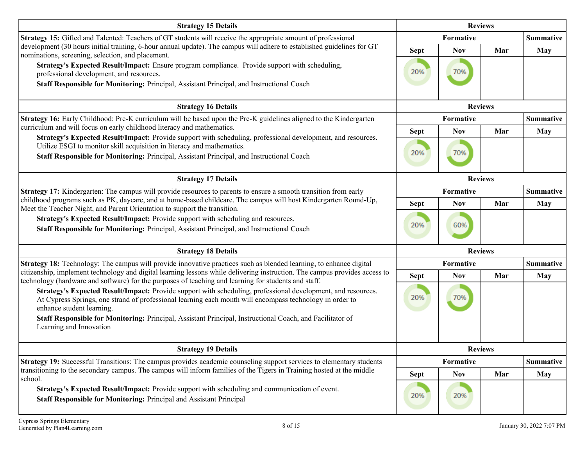| <b>Strategy 15 Details</b>                                                                                                                                                                                                                                                                                                                                                                    | <b>Reviews</b> |            |                |                  |
|-----------------------------------------------------------------------------------------------------------------------------------------------------------------------------------------------------------------------------------------------------------------------------------------------------------------------------------------------------------------------------------------------|----------------|------------|----------------|------------------|
| <b>Strategy 15:</b> Gifted and Talented: Teachers of GT students will receive the appropriate amount of professional                                                                                                                                                                                                                                                                          |                | Formative  |                | <b>Summative</b> |
| development (30 hours initial training, 6-hour annual update). The campus will adhere to established guidelines for GT<br>nominations, screening, selection, and placement.                                                                                                                                                                                                                   | <b>Sept</b>    | <b>Nov</b> | Mar            | <b>May</b>       |
| Strategy's Expected Result/Impact: Ensure program compliance. Provide support with scheduling,<br>professional development, and resources.<br>Staff Responsible for Monitoring: Principal, Assistant Principal, and Instructional Coach                                                                                                                                                       | 20%            | 70%        |                |                  |
| <b>Strategy 16 Details</b>                                                                                                                                                                                                                                                                                                                                                                    |                |            | <b>Reviews</b> |                  |
| Strategy 16: Early Childhood: Pre-K curriculum will be based upon the Pre-K guidelines aligned to the Kindergarten                                                                                                                                                                                                                                                                            |                | Formative  |                | Summative        |
| curriculum and will focus on early childhood literacy and mathematics.                                                                                                                                                                                                                                                                                                                        | <b>Sept</b>    | <b>Nov</b> | Mar            | <b>May</b>       |
| Strategy's Expected Result/Impact: Provide support with scheduling, professional development, and resources.<br>Utilize ESGI to monitor skill acquisition in literacy and mathematics.<br>Staff Responsible for Monitoring: Principal, Assistant Principal, and Instructional Coach                                                                                                           | 20%            | 70%        |                |                  |
| <b>Strategy 17 Details</b>                                                                                                                                                                                                                                                                                                                                                                    |                |            | <b>Reviews</b> |                  |
| Strategy 17: Kindergarten: The campus will provide resources to parents to ensure a smooth transition from early                                                                                                                                                                                                                                                                              |                | Formative  |                | <b>Summative</b> |
| childhood programs such as PK, daycare, and at home-based childcare. The campus will host Kindergarten Round-Up,<br>Meet the Teacher Night, and Parent Orientation to support the transition.                                                                                                                                                                                                 | <b>Sept</b>    | <b>Nov</b> | Mar            | <b>May</b>       |
| Strategy's Expected Result/Impact: Provide support with scheduling and resources.<br>Staff Responsible for Monitoring: Principal, Assistant Principal, and Instructional Coach                                                                                                                                                                                                                | 20%            | 60%        |                |                  |
| <b>Strategy 18 Details</b>                                                                                                                                                                                                                                                                                                                                                                    |                |            | <b>Reviews</b> |                  |
| <b>Strategy 18:</b> Technology: The campus will provide innovative practices such as blended learning, to enhance digital                                                                                                                                                                                                                                                                     |                | Formative  |                | <b>Summative</b> |
| citizenship, implement technology and digital learning lessons while delivering instruction. The campus provides access to<br>technology (hardware and software) for the purposes of teaching and learning for students and staff.                                                                                                                                                            | <b>Sept</b>    | <b>Nov</b> | Mar            | <b>May</b>       |
| Strategy's Expected Result/Impact: Provide support with scheduling, professional development, and resources.<br>At Cypress Springs, one strand of professional learning each month will encompass technology in order to<br>enhance student learning.<br>Staff Responsible for Monitoring: Principal, Assistant Principal, Instructional Coach, and Facilitator of<br>Learning and Innovation | 20%            | 70%        |                |                  |
| <b>Strategy 19 Details</b>                                                                                                                                                                                                                                                                                                                                                                    |                |            | <b>Reviews</b> |                  |
| Strategy 19: Successful Transitions: The campus provides academic counseling support services to elementary students                                                                                                                                                                                                                                                                          |                | Formative  |                | <b>Summative</b> |
| transitioning to the secondary campus. The campus will inform families of the Tigers in Training hosted at the middle<br>school.                                                                                                                                                                                                                                                              | <b>Sept</b>    | <b>Nov</b> | Mar            | <b>May</b>       |
| Strategy's Expected Result/Impact: Provide support with scheduling and communication of event.<br>Staff Responsible for Monitoring: Principal and Assistant Principal                                                                                                                                                                                                                         | 20%            | 20%        |                |                  |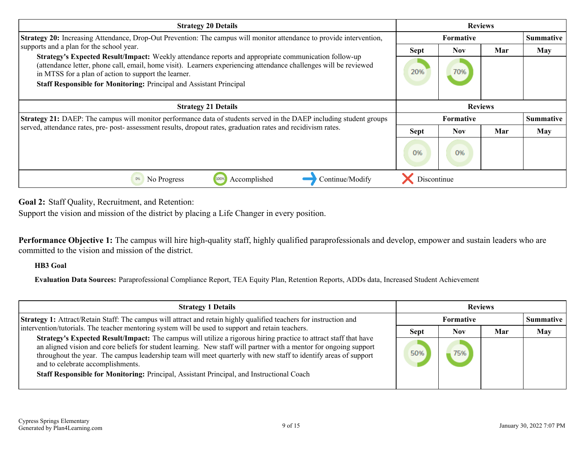<span id="page-8-0"></span>

| <b>Strategy 20 Details</b>                                                                                                                                                                                                                                                       | <b>Reviews</b>   |            |     |            |
|----------------------------------------------------------------------------------------------------------------------------------------------------------------------------------------------------------------------------------------------------------------------------------|------------------|------------|-----|------------|
| Strategy 20: Increasing Attendance, Drop-Out Prevention: The campus will monitor attendance to provide intervention,                                                                                                                                                             | <b>Formative</b> |            |     | Summative  |
| supports and a plan for the school year.                                                                                                                                                                                                                                         | <b>Sept</b>      | <b>Nov</b> | Mar | May        |
| Strategy's Expected Result/Impact: Weekly attendance reports and appropriate communication follow-up<br>(attendance letter, phone call, email, home visit). Learners experiencing attendance challenges will be reviewed<br>in MTSS for a plan of action to support the learner. | 20%              | 70%        |     |            |
| Staff Responsible for Monitoring: Principal and Assistant Principal                                                                                                                                                                                                              |                  |            |     |            |
| <b>Strategy 21 Details</b>                                                                                                                                                                                                                                                       | <b>Reviews</b>   |            |     |            |
| Strategy 21: DAEP: The campus will monitor performance data of students served in the DAEP including student groups                                                                                                                                                              | <b>Formative</b> |            |     | Summative  |
| served, attendance rates, pre- post- assessment results, dropout rates, graduation rates and recidivism rates.                                                                                                                                                                   | <b>Sept</b>      | <b>Nov</b> | Mar | <b>May</b> |
|                                                                                                                                                                                                                                                                                  | 0%               | 0%         |     |            |
| Continue/Modify<br>No Progress<br>Accomplished<br>0%                                                                                                                                                                                                                             | Discontinue      |            |     |            |

**Goal 2:** Staff Quality, Recruitment, and Retention:

Support the vision and mission of the district by placing a Life Changer in every position.

**Performance Objective 1:** The campus will hire high-quality staff, highly qualified paraprofessionals and develop, empower and sustain leaders who are committed to the vision and mission of the district.

### **HB3 Goal**

**Evaluation Data Sources:** Paraprofessional Compliance Report, TEA Equity Plan, Retention Reports, ADDs data, Increased Student Achievement

| <b>Strategy 1 Details</b>                                                                                                                                                                                                                                                                                                                                                                                                                                                                  | <b>Reviews</b> |            |     |                  |
|--------------------------------------------------------------------------------------------------------------------------------------------------------------------------------------------------------------------------------------------------------------------------------------------------------------------------------------------------------------------------------------------------------------------------------------------------------------------------------------------|----------------|------------|-----|------------------|
| <b>Strategy 1:</b> Attract/Retain Staff: The campus will attract and retain highly qualified teachers for instruction and                                                                                                                                                                                                                                                                                                                                                                  | Formative      |            |     | <b>Summative</b> |
| intervention/tutorials. The teacher mentoring system will be used to support and retain teachers.                                                                                                                                                                                                                                                                                                                                                                                          | <b>Sept</b>    | <b>Nov</b> | Mar | May              |
| Strategy's Expected Result/Impact: The campus will utilize a rigorous hiring practice to attract staff that have<br>an aligned vision and core beliefs for student learning. New staff will partner with a mentor for ongoing support<br>throughout the year. The campus leadership team will meet quarterly with new staff to identify areas of support<br>and to celebrate accomplishments.<br>Staff Responsible for Monitoring: Principal, Assistant Principal, and Instructional Coach |                | 75%        |     |                  |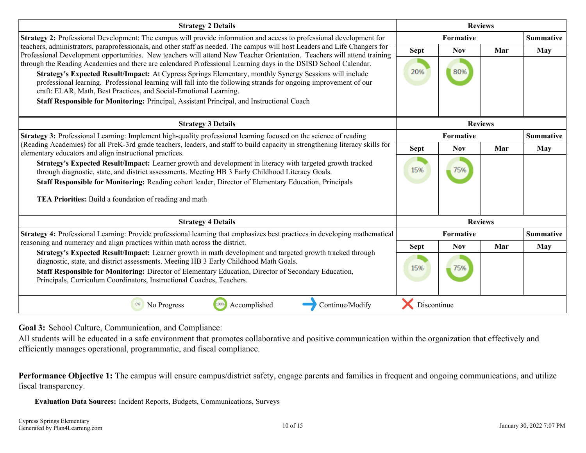<span id="page-9-0"></span>

| <b>Strategy 2 Details</b>                                                                                                                                                                                                                                                                                                | <b>Reviews</b>   |                |     |                  |
|--------------------------------------------------------------------------------------------------------------------------------------------------------------------------------------------------------------------------------------------------------------------------------------------------------------------------|------------------|----------------|-----|------------------|
| <b>Strategy 2:</b> Professional Development: The campus will provide information and access to professional development for                                                                                                                                                                                              | Formative        |                |     | <b>Summative</b> |
| teachers, administrators, paraprofessionals, and other staff as needed. The campus will host Leaders and Life Changers for<br>Professional Development opportunities. New teachers will attend New Teacher Orientation. Teachers will attend training                                                                    | <b>Sept</b>      | <b>Nov</b>     | Mar | May              |
| through the Reading Academies and there are calendared Professional Learning days in the DSISD School Calendar.                                                                                                                                                                                                          |                  |                |     |                  |
| Strategy's Expected Result/Impact: At Cypress Springs Elementary, monthly Synergy Sessions will include<br>professional learning. Professional learning will fall into the following strands for ongoing improvement of our<br>craft: ELAR, Math, Best Practices, and Social-Emotional Learning.                         | 20%              | 80%            |     |                  |
| Staff Responsible for Monitoring: Principal, Assistant Principal, and Instructional Coach                                                                                                                                                                                                                                |                  |                |     |                  |
| <b>Strategy 3 Details</b>                                                                                                                                                                                                                                                                                                |                  | <b>Reviews</b> |     |                  |
| Strategy 3: Professional Learning: Implement high-quality professional learning focused on the science of reading                                                                                                                                                                                                        | <b>Formative</b> |                |     | <b>Summative</b> |
| (Reading Academies) for all PreK-3rd grade teachers, leaders, and staff to build capacity in strengthening literacy skills for<br>elementary educators and align instructional practices.                                                                                                                                | <b>Sept</b>      | <b>Nov</b>     | Mar | <b>May</b>       |
| Strategy's Expected Result/Impact: Learner growth and development in literacy with targeted growth tracked<br>through diagnostic, state, and district assessments. Meeting HB 3 Early Childhood Literacy Goals.<br>Staff Responsible for Monitoring: Reading cohort leader, Director of Elementary Education, Principals | 15%              | 75%            |     |                  |
| TEA Priorities: Build a foundation of reading and math                                                                                                                                                                                                                                                                   |                  |                |     |                  |
| <b>Strategy 4 Details</b>                                                                                                                                                                                                                                                                                                |                  | <b>Reviews</b> |     |                  |
| Strategy 4: Professional Learning: Provide professional learning that emphasizes best practices in developing mathematical                                                                                                                                                                                               |                  | Formative      |     | <b>Summative</b> |
| reasoning and numeracy and align practices within math across the district.<br>Strategy's Expected Result/Impact: Learner growth in math development and targeted growth tracked through                                                                                                                                 | <b>Sept</b>      | <b>Nov</b>     | Mar | May              |
| diagnostic, state, and district assessments. Meeting HB 3 Early Childhood Math Goals.<br>Staff Responsible for Monitoring: Director of Elementary Education, Director of Secondary Education,<br>Principals, Curriculum Coordinators, Instructional Coaches, Teachers.                                                   | 15%              | 75%            |     |                  |
| Continue/Modify<br>No Progress<br>100%<br>Accomplished<br>0%                                                                                                                                                                                                                                                             | Discontinue      |                |     |                  |

**Goal 3:** School Culture, Communication, and Compliance:

All students will be educated in a safe environment that promotes collaborative and positive communication within the organization that effectively and efficiently manages operational, programmatic, and fiscal compliance.

Performance Objective 1: The campus will ensure campus/district safety, engage parents and families in frequent and ongoing communications, and utilize fiscal transparency.

**Evaluation Data Sources:** Incident Reports, Budgets, Communications, Surveys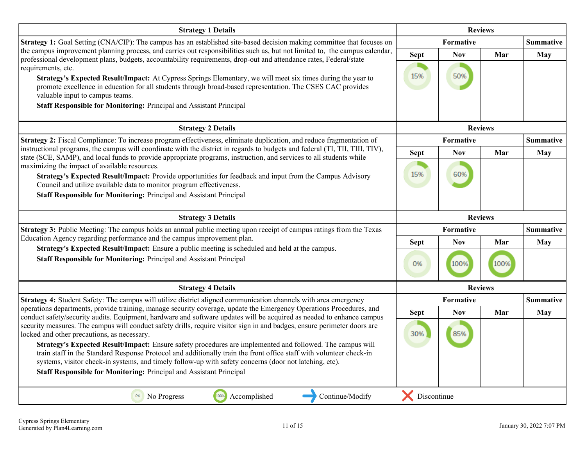| <b>Strategy 1 Details</b>                                                                                                                                                                                                                                                                                                                  | <b>Reviews</b> |                  |                |                  |
|--------------------------------------------------------------------------------------------------------------------------------------------------------------------------------------------------------------------------------------------------------------------------------------------------------------------------------------------|----------------|------------------|----------------|------------------|
| <b>Strategy 1:</b> Goal Setting (CNA/CIP): The campus has an established site-based decision making committee that focuses on                                                                                                                                                                                                              |                | <b>Formative</b> |                |                  |
| the campus improvement planning process, and carries out responsibilities such as, but not limited to, the campus calendar,<br>professional development plans, budgets, accountability requirements, drop-out and attendance rates, Federal/state<br>requirements, etc.                                                                    | <b>Sept</b>    | <b>Nov</b>       | Mar            | <b>May</b>       |
| Strategy's Expected Result/Impact: At Cypress Springs Elementary, we will meet six times during the year to<br>promote excellence in education for all students through broad-based representation. The CSES CAC provides<br>valuable input to campus teams.<br>Staff Responsible for Monitoring: Principal and Assistant Principal        | 15%            | 50%              |                |                  |
| <b>Strategy 2 Details</b>                                                                                                                                                                                                                                                                                                                  |                |                  | <b>Reviews</b> |                  |
| Strategy 2: Fiscal Compliance: To increase program effectiveness, eliminate duplication, and reduce fragmentation of                                                                                                                                                                                                                       |                | Formative        |                | <b>Summative</b> |
| instructional programs, the campus will coordinate with the district in regards to budgets and federal (TI, TII, TIII, TIV),<br>state (SCE, SAMP), and local funds to provide appropriate programs, instruction, and services to all students while<br>maximizing the impact of available resources.                                       | <b>Sept</b>    | <b>Nov</b>       | Mar            | <b>May</b>       |
| Strategy's Expected Result/Impact: Provide opportunities for feedback and input from the Campus Advisory<br>Council and utilize available data to monitor program effectiveness.                                                                                                                                                           | 15%            | 60%              |                |                  |
| Staff Responsible for Monitoring: Principal and Assistant Principal                                                                                                                                                                                                                                                                        |                |                  |                |                  |
| <b>Strategy 3 Details</b>                                                                                                                                                                                                                                                                                                                  |                |                  | <b>Reviews</b> |                  |
| Strategy 3: Public Meeting: The campus holds an annual public meeting upon receipt of campus ratings from the Texas<br>Education Agency regarding performance and the campus improvement plan.                                                                                                                                             |                | Formative        |                | <b>Summative</b> |
| Strategy's Expected Result/Impact: Ensure a public meeting is scheduled and held at the campus.                                                                                                                                                                                                                                            | <b>Sept</b>    | <b>Nov</b>       | Mar            | May              |
| Staff Responsible for Monitoring: Principal and Assistant Principal                                                                                                                                                                                                                                                                        | 0%             | 100%             | 100%           |                  |
| <b>Strategy 4 Details</b>                                                                                                                                                                                                                                                                                                                  |                |                  | <b>Reviews</b> |                  |
| Strategy 4: Student Safety: The campus will utilize district aligned communication channels with area emergency                                                                                                                                                                                                                            |                | Formative        |                | <b>Summative</b> |
| operations departments, provide training, manage security coverage, update the Emergency Operations Procedures, and<br>conduct safety/security audits. Equipment, hardware and software updates will be acquired as needed to enhance campus                                                                                               | <b>Sept</b>    | <b>Nov</b>       | Mar            | May              |
| security measures. The campus will conduct safety drills, require visitor sign in and badges, ensure perimeter doors are<br>locked and other precautions, as necessary.                                                                                                                                                                    | 30%            | 85%              |                |                  |
| Strategy's Expected Result/Impact: Ensure safety procedures are implemented and followed. The campus will<br>train staff in the Standard Response Protocol and additionally train the front office staff with volunteer check-in<br>systems, visitor check-in systems, and timely follow-up with safety concerns (door not latching, etc). |                |                  |                |                  |
| <b>Staff Responsible for Monitoring: Principal and Assistant Principal</b>                                                                                                                                                                                                                                                                 |                |                  |                |                  |
| 100%<br>0%<br>Continue/Modify<br>Accomplished<br>No Progress                                                                                                                                                                                                                                                                               | Discontinue    |                  |                |                  |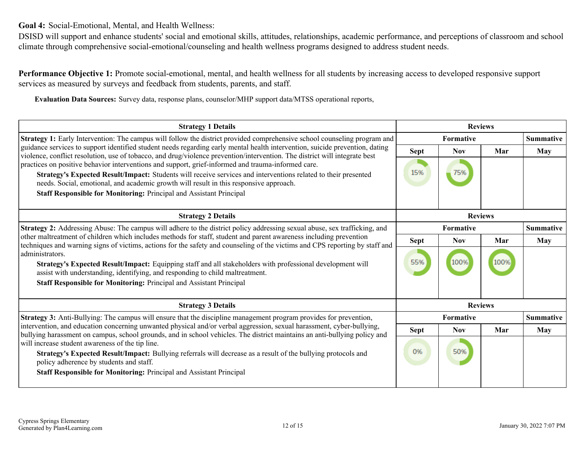<span id="page-11-0"></span>**Goal 4:** Social-Emotional, Mental, and Health Wellness:

DSISD will support and enhance students' social and emotional skills, attitudes, relationships, academic performance, and perceptions of classroom and school climate through comprehensive social-emotional/counseling and health wellness programs designed to address student needs.

**Performance Objective 1:** Promote social-emotional, mental, and health wellness for all students by increasing access to developed responsive support services as measured by surveys and feedback from students, parents, and staff.

**Evaluation Data Sources:** Survey data, response plans, counselor/MHP support data/MTSS operational reports,

| <b>Strategy 1 Details</b>                                                                                                                                                                                                                                                                                                                      | <b>Reviews</b>   |            |                |                  |
|------------------------------------------------------------------------------------------------------------------------------------------------------------------------------------------------------------------------------------------------------------------------------------------------------------------------------------------------|------------------|------------|----------------|------------------|
| <b>Strategy 1:</b> Early Intervention: The campus will follow the district provided comprehensive school counseling program and                                                                                                                                                                                                                | <b>Formative</b> |            |                | <b>Summative</b> |
| guidance services to support identified student needs regarding early mental health intervention, suicide prevention, dating<br>violence, conflict resolution, use of tobacco, and drug/violence prevention/intervention. The district will integrate best                                                                                     | <b>Sept</b>      | <b>Nov</b> | Mar            | <b>May</b>       |
| practices on positive behavior interventions and support, grief-informed and trauma-informed care.<br>Strategy's Expected Result/Impact: Students will receive services and interventions related to their presented<br>needs. Social, emotional, and academic growth will result in this responsive approach.                                 | 15%              | 75%        |                |                  |
| <b>Staff Responsible for Monitoring: Principal and Assistant Principal</b>                                                                                                                                                                                                                                                                     |                  |            |                |                  |
| <b>Strategy 2 Details</b>                                                                                                                                                                                                                                                                                                                      |                  |            | <b>Reviews</b> |                  |
| Strategy 2: Addressing Abuse: The campus will adhere to the district policy addressing sexual abuse, sex trafficking, and                                                                                                                                                                                                                      | Formative        |            |                | <b>Summative</b> |
| other maltreatment of children which includes methods for staff, student and parent awareness including prevention                                                                                                                                                                                                                             | <b>Sept</b>      | <b>Nov</b> | Mar            | May              |
| techniques and warning signs of victims, actions for the safety and counseling of the victims and CPS reporting by staff and<br>administrators.<br>Strategy's Expected Result/Impact: Equipping staff and all stakeholders with professional development will<br>assist with understanding, identifying, and responding to child maltreatment. | 55%              | 100%       |                |                  |
| <b>Staff Responsible for Monitoring: Principal and Assistant Principal</b>                                                                                                                                                                                                                                                                     |                  |            |                |                  |
| <b>Strategy 3 Details</b>                                                                                                                                                                                                                                                                                                                      |                  |            | <b>Reviews</b> |                  |
| Strategy 3: Anti-Bullying: The campus will ensure that the discipline management program provides for prevention,                                                                                                                                                                                                                              |                  | Formative  |                | <b>Summative</b> |
| intervention, and education concerning unwanted physical and/or verbal aggression, sexual harassment, cyber-bullying,<br>bullying harassment on campus, school grounds, and in school vehicles. The district maintains an anti-bullying policy and                                                                                             | <b>Sept</b>      | <b>Nov</b> | Mar            | May              |
| will increase student awareness of the tip line.<br>Strategy's Expected Result/Impact: Bullying referrals will decrease as a result of the bullying protocols and<br>policy adherence by students and staff.<br><b>Staff Responsible for Monitoring: Principal and Assistant Principal</b>                                                     | 0%               | 50%        |                |                  |
|                                                                                                                                                                                                                                                                                                                                                |                  |            |                |                  |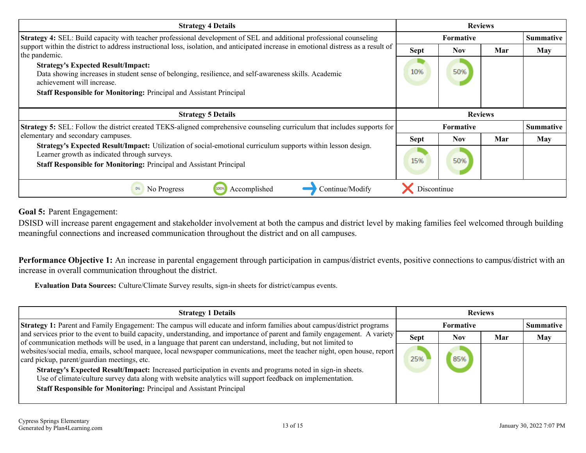<span id="page-12-0"></span>

| <b>Strategy 4 Details</b>                                                                                                                                                                                                                  | <b>Reviews</b>   |            |     |                  |
|--------------------------------------------------------------------------------------------------------------------------------------------------------------------------------------------------------------------------------------------|------------------|------------|-----|------------------|
| <b>Strategy 4:</b> SEL: Build capacity with teacher professional development of SEL and additional professional counseling                                                                                                                 |                  | Formative  |     |                  |
| support within the district to address instructional loss, isolation, and anticipated increase in emotional distress as a result of<br>the pandemic.                                                                                       | <b>Sept</b>      | <b>Nov</b> | Mar | <b>May</b>       |
| <b>Strategy's Expected Result/Impact:</b><br>Data showing increases in student sense of belonging, resilience, and self-awareness skills. Academic<br>achievement will increase.                                                           | 10%              | 50%        |     |                  |
| Staff Responsible for Monitoring: Principal and Assistant Principal                                                                                                                                                                        |                  |            |     |                  |
|                                                                                                                                                                                                                                            |                  |            |     |                  |
| <b>Strategy 5 Details</b>                                                                                                                                                                                                                  | <b>Reviews</b>   |            |     |                  |
| <b>Strategy 5:</b> SEL: Follow the district created TEKS-aligned comprehensive counseling curriculum that includes supports for                                                                                                            | <b>Formative</b> |            |     | <b>Summative</b> |
|                                                                                                                                                                                                                                            |                  |            |     |                  |
| elementary and secondary campuses.                                                                                                                                                                                                         | <b>Sept</b>      | <b>Nov</b> | Mar | May              |
| Strategy's Expected Result/Impact: Utilization of social-emotional curriculum supports within lesson design.<br>Learner growth as indicated through surveys.<br><b>Staff Responsible for Monitoring: Principal and Assistant Principal</b> | 15%              | 50%        |     |                  |

**Goal 5:** Parent Engagement:

DSISD will increase parent engagement and stakeholder involvement at both the campus and district level by making families feel welcomed through building meaningful connections and increased communication throughout the district and on all campuses.

**Performance Objective 1:** An increase in parental engagement through participation in campus/district events, positive connections to campus/district with an increase in overall communication throughout the district.

**Evaluation Data Sources:** Culture/Climate Survey results, sign-in sheets for district/campus events.

| <b>Strategy 1 Details</b>                                                                                                                                                                                                                     | <b>Reviews</b> |            |     |                  |
|-----------------------------------------------------------------------------------------------------------------------------------------------------------------------------------------------------------------------------------------------|----------------|------------|-----|------------------|
| Strategy 1: Parent and Family Engagement: The campus will educate and inform families about campus/district programs                                                                                                                          | Formative      |            |     | <b>Summative</b> |
| and services prior to the event to build capacity, understanding, and importance of parent and family engagement. A variety<br>of communication methods will be used, in a language that parent can understand, including, but not limited to | <b>Sept</b>    | <b>Nov</b> | Mar | <b>May</b>       |
| websites/social media, emails, school marquee, local newspaper communications, meet the teacher night, open house, report<br>card pickup, parent/guardian meetings, etc.                                                                      | 25%            | 85%        |     |                  |
| Strategy's Expected Result/Impact: Increased participation in events and programs noted in sign-in sheets.<br>Use of climate/culture survey data along with website analytics will support feedback on implementation.                        |                |            |     |                  |
| Staff Responsible for Monitoring: Principal and Assistant Principal                                                                                                                                                                           |                |            |     |                  |
|                                                                                                                                                                                                                                               |                |            |     |                  |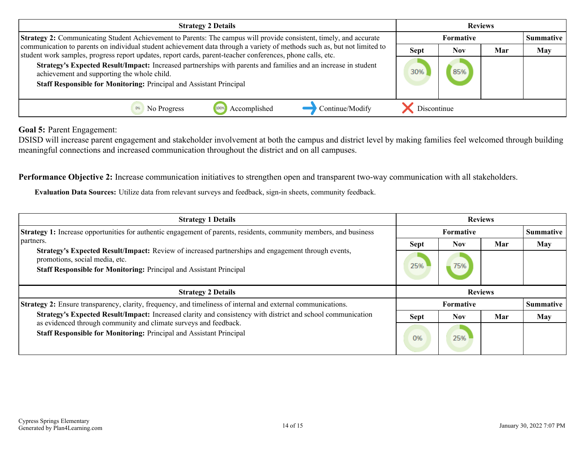| <b>Strategy 2 Details</b>                                                                                                                                                                                                              | <b>Reviews</b> |           |     |     |  |
|----------------------------------------------------------------------------------------------------------------------------------------------------------------------------------------------------------------------------------------|----------------|-----------|-----|-----|--|
| <b>Strategy 2:</b> Communicating Student Achievement to Parents: The campus will provide consistent, timely, and accurate                                                                                                              |                | Formative |     |     |  |
| communication to parents on individual student achievement data through a variety of methods such as, but not limited to<br>student work samples, progress report updates, report cards, parent-teacher conferences, phone calls, etc. | <b>Sept</b>    | Nov       | Mar | May |  |
| Strategy's Expected Result/Impact: Increased partnerships with parents and families and an increase in student<br>achievement and supporting the whole child.<br>Staff Responsible for Monitoring: Principal and Assistant Principal   | 30%            |           |     |     |  |
| Continue/Modify<br>No Progress<br>Accomplished                                                                                                                                                                                         | Discontinue    |           |     |     |  |

**Goal 5:** Parent Engagement:

DSISD will increase parent engagement and stakeholder involvement at both the campus and district level by making families feel welcomed through building meaningful connections and increased communication throughout the district and on all campuses.

**Performance Objective 2:** Increase communication initiatives to strengthen open and transparent two-way communication with all stakeholders.

**Evaluation Data Sources:** Utilize data from relevant surveys and feedback, sign-in sheets, community feedback.

| <b>Strategy 1 Details</b>                                                                                                                                                                                   | <b>Reviews</b> |                  |     |            |
|-------------------------------------------------------------------------------------------------------------------------------------------------------------------------------------------------------------|----------------|------------------|-----|------------|
| <b>Strategy 1:</b> Increase opportunities for authentic engagement of parents, residents, community members, and business                                                                                   | Formative      |                  |     | Summative  |
| partners.                                                                                                                                                                                                   | <b>Sept</b>    | <b>Nov</b>       | Mar | May        |
| Strategy's Expected Result/Impact: Review of increased partnerships and engagement through events,<br>promotions, social media, etc.<br>Staff Responsible for Monitoring: Principal and Assistant Principal | 25%            | 75%              |     |            |
|                                                                                                                                                                                                             |                |                  |     |            |
| <b>Strategy 2 Details</b>                                                                                                                                                                                   |                | <b>Reviews</b>   |     |            |
| <b>Strategy 2:</b> Ensure transparency, clarity, frequency, and timeliness of internal and external communications.                                                                                         |                | <b>Formative</b> |     | Summative  |
| Strategy's Expected Result/Impact: Increased clarity and consistency with district and school communication<br>as evidenced through community and climate surveys and feedback.                             | <b>Sept</b>    | <b>Nov</b>       | Mar | <b>May</b> |